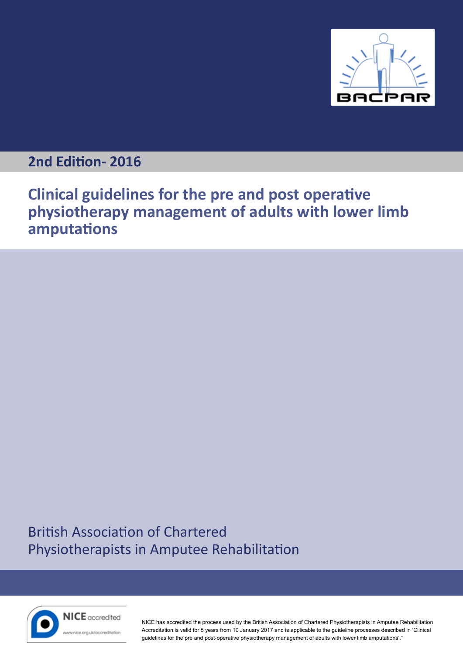

## **2nd Edition- 2016**

# **Clinical guidelines for the pre and post operative physiotherapy management of adults with lower limb amputations**

British Association of Chartered Physiotherapists in Amputee Rehabilitation



ra uk/accreditation

NICE has accredited the process used by the British Association of Chartered Physiotherapists in Amputee Rehabilitation Accreditation is valid for 5 years from 10 January 2017 and is applicable to the guideline processes described in 'Clinical guidelines for the pre and post-operative physiotherapy management of adults with lower limb amputations'."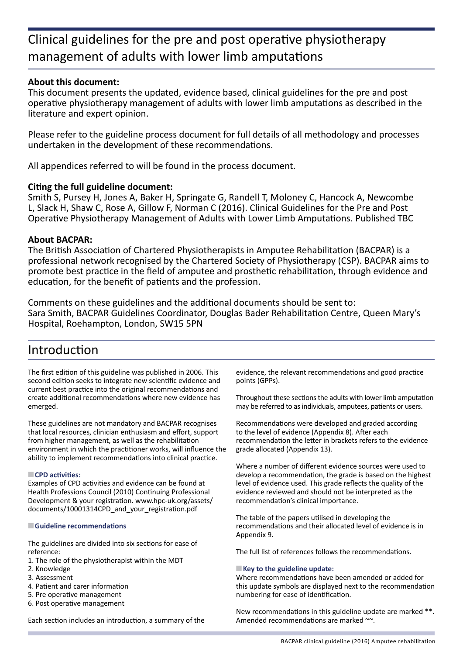## **About this document:**

This document presents the updated, evidence based, clinical guidelines for the pre and post operative physiotherapy management of adults with lower limb amputations as described in the literature and expert opinion.

Please refer to the guideline process document for full details of all methodology and processes undertaken in the development of these recommendations.

All appendices referred to will be found in the process document.

## **Citing the full guideline document:**

Smith S, Pursey H, Jones A, Baker H, Springate G, Randell T, Moloney C, Hancock A, Newcombe L, Slack H, Shaw C, Rose A, Gillow F, Norman C (2016). Clinical Guidelines for the Pre and Post Operative Physiotherapy Management of Adults with Lower Limb Amputations. Published TBC

## **About BACPAR:**

The British Association of Chartered Physiotherapists in Amputee Rehabilitation (BACPAR) is a professional network recognised by the Chartered Society of Physiotherapy (CSP). BACPAR aims to promote best practice in the field of amputee and prosthetic rehabilitation, through evidence and education, for the benefit of patients and the profession.

Comments on these guidelines and the additional documents should be sent to: Sara Smith, BACPAR Guidelines Coordinator, Douglas Bader Rehabilitation Centre, Queen Mary's Hospital, Roehampton, London, SW15 5PN

## Introduction

The first edition of this guideline was published in 2006. This second edition seeks to integrate new scientific evidence and current best practice into the original recommendations and create additional recommendations where new evidence has emerged.

These guidelines are not mandatory and BACPAR recognises that local resources, clinician enthusiasm and effort, support from higher management, as well as the rehabilitation environment in which the practitioner works, will influence the ability to implement recommendations into clinical practice.

#### ■**CPD activities:**

Examples of CPD activities and evidence can be found at Health Professions Council (2010) Continuing Professional Development & your registration. www.hpc-uk.org/assets/ documents/10001314CPD and your registration.pdf

#### ■**Guideline recommendations**

The guidelines are divided into six sections for ease of reference:

- 1. The role of the physiotherapist within the MDT
- 2. Knowledge
- 3. Assessment
- 4. Patient and carer information
- 5. Pre operative management
- 6. Post operative management

Each section includes an introduction, a summary of the

evidence, the relevant recommendations and good practice points (GPPs).

Throughout these sections the adults with lower limb amputation may be referred to as individuals, amputees, patients or users.

Recommendations were developed and graded according to the level of evidence (Appendix 8). After each recommendation the letter in brackets refers to the evidence grade allocated (Appendix 13).

Where a number of different evidence sources were used to develop a recommendation, the grade is based on the highest level of evidence used. This grade reflects the quality of the evidence reviewed and should not be interpreted as the recommendation's clinical importance.

The table of the papers utilised in developing the recommendations and their allocated level of evidence is in Appendix 9.

The full list of references follows the recommendations.

#### ■**Key to the guideline update:**

Where recommendations have been amended or added for this update symbols are displayed next to the recommendation numbering for ease of identification.

New recommendations in this guideline update are marked \*\*. Amended recommendations are marked ~~.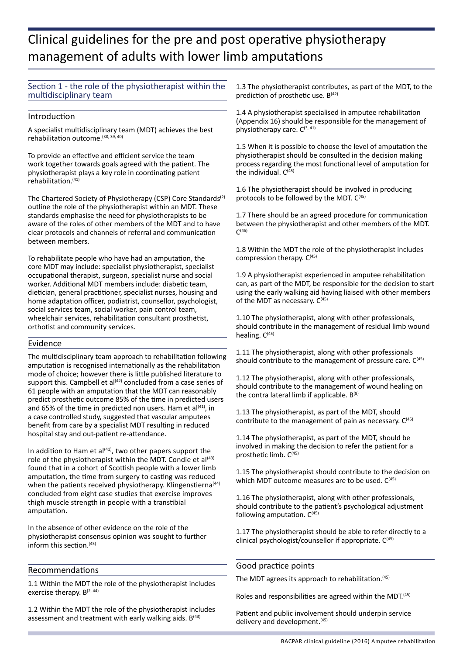### Section 1 - the role of the physiotherapist within the multidisciplinary team

### Introduction

A specialist multidisciplinary team (MDT) achieves the best rehabilitation outcome.(38, 39, 40)

To provide an effective and efficient service the team work together towards goals agreed with the patient. The physiotherapist plays a key role in coordinating patient rehabilitation.(41)

The Chartered Society of Physiotherapy (CSP) Core Standards<sup>(2)</sup> outline the role of the physiotherapist within an MDT. These standards emphasise the need for physiotherapists to be aware of the roles of other members of the MDT and to have clear protocols and channels of referral and communication between members.

To rehabilitate people who have had an amputation, the core MDT may include: specialist physiotherapist, specialist occupational therapist, surgeon, specialist nurse and social worker. Additional MDT members include: diabetic team, dietician, general practitioner, specialist nurses, housing and home adaptation officer, podiatrist, counsellor, psychologist, social services team, social worker, pain control team, wheelchair services, rehabilitation consultant prosthetist, orthotist and community services.

#### Evidence

The multidisciplinary team approach to rehabilitation following amputation is recognised internationally as the rehabilitation mode of choice; however there is little published literature to support this. Campbell et al<sup>(42)</sup> concluded from a case series of 61 people with an amputation that the MDT can reasonably predict prosthetic outcome 85% of the time in predicted users and 65% of the time in predicted non users. Ham et al $(41)$ , in a case controlled study, suggested that vascular amputees benefit from care by a specialist MDT resulting in reduced hospital stay and out-patient re-attendance.

In addition to Ham et al $(41)$ , two other papers support the role of the physiotherapist within the MDT. Condie et al<sup>(43)</sup> found that in a cohort of Scottish people with a lower limb amputation, the time from surgery to casting was reduced when the patients received physiotherapy. Klingenstierna<sup>(44)</sup> concluded from eight case studies that exercise improves thigh muscle strength in people with a transtibial amputation.

In the absence of other evidence on the role of the physiotherapist consensus opinion was sought to further inform this section.<sup>(45)</sup>

### Recommendations

1.1 Within the MDT the role of the physiotherapist includes exercise therapy.  $B^{(2, 44)}$ 

1.2 Within the MDT the role of the physiotherapist includes assessment and treatment with early walking aids.  $B^{(43)}$ 

1.3 The physiotherapist contributes, as part of the MDT, to the prediction of prosthetic use.  $B^{(42)}$ 

1.4 A physiotherapist specialised in amputee rehabilitation (Appendix 16) should be responsible for the management of physiotherapy care. C<sup>(3, 41)</sup>

1.5 When it is possible to choose the level of amputation the physiotherapist should be consulted in the decision making process regarding the most functional level of amputation for the individual.  $C^{(45)}$ 

1.6 The physiotherapist should be involved in producing protocols to be followed by the MDT.  $C^{(45)}$ 

1.7 There should be an agreed procedure for communication between the physiotherapist and other members of the MDT.  $C^{(45)}$ 

1.8 Within the MDT the role of the physiotherapist includes compression therapy. C<sup>(45)</sup>

1.9 A physiotherapist experienced in amputee rehabilitation can, as part of the MDT, be responsible for the decision to start using the early walking aid having liaised with other members of the MDT as necessary.  $C^{(45)}$ 

1.10 The physiotherapist, along with other professionals, should contribute in the management of residual limb wound healing.  $C^{(45)}$ 

1.11 The physiotherapist, along with other professionals should contribute to the management of pressure care.  $C^{(45)}$ 

1.12 The physiotherapist, along with other professionals, should contribute to the management of wound healing on the contra lateral limb if applicable.  $B^{(8)}$ 

1.13 The physiotherapist, as part of the MDT, should contribute to the management of pain as necessary.  $C^{(45)}$ 

1.14 The physiotherapist, as part of the MDT, should be involved in making the decision to refer the patient for a prosthetic limb. C<sup>(45)</sup>

1.15 The physiotherapist should contribute to the decision on which MDT outcome measures are to be used.  $C^{(45)}$ 

1.16 The physiotherapist, along with other professionals, should contribute to the patient's psychological adjustment following amputation.  $C^{(45)}$ 

1.17 The physiotherapist should be able to refer directly to a clinical psychologist/counsellor if appropriate.  $C^{(45)}$ 

#### Good practice points

The MDT agrees its approach to rehabilitation.<sup>(45)</sup>

Roles and responsibilities are agreed within the MDT.<sup>(45)</sup>

Patient and public involvement should underpin service delivery and development.<sup>(45)</sup>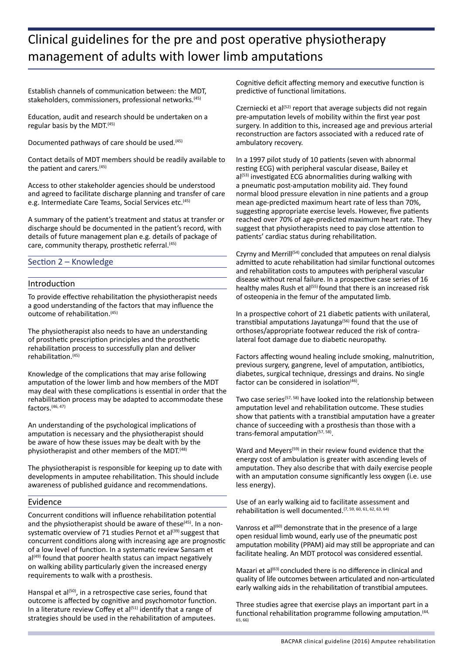Establish channels of communication between: the MDT, stakeholders, commissioners, professional networks.<sup>(45)</sup>

Education, audit and research should be undertaken on a regular basis by the MDT.<sup>(45)</sup>

Documented pathways of care should be used.<sup>(45)</sup>

Contact details of MDT members should be readily available to the patient and carers.(45)

Access to other stakeholder agencies should be understood and agreed to facilitate discharge planning and transfer of care e.g. Intermediate Care Teams, Social Services etc.<sup>(45)</sup>

A summary of the patient's treatment and status at transfer or discharge should be documented in the patient's record, with details of future management plan e.g. details of package of care, community therapy, prosthetic referral.<sup>(45)</sup>

### Section 2 – Knowledge

#### Introduction

To provide effective rehabilitation the physiotherapist needs a good understanding of the factors that may influence the outcome of rehabilitation.<sup>(45)</sup>

The physiotherapist also needs to have an understanding of prosthetic prescription principles and the prosthetic rehabilitation process to successfully plan and deliver rehabilitation.(45)

Knowledge of the complications that may arise following amputation of the lower limb and how members of the MDT may deal with these complications is essential in order that the rehabilitation process may be adapted to accommodate these factors.(46, 47)

An understanding of the psychological implications of amputation is necessary and the physiotherapist should be aware of how these issues may be dealt with by the physiotherapist and other members of the MDT.<sup>(48)</sup>

The physiotherapist is responsible for keeping up to date with developments in amputee rehabilitation. This should include awareness of published guidance and recommendations.

#### Evidence

Concurrent conditions will influence rehabilitation potential and the physiotherapist should be aware of these<sup>(45)</sup>. In a nonsystematic overview of 71 studies Pernot et al $(39)$  suggest that concurrent conditions along with increasing age are prognostic of a low level of function. In a systematic review Sansam et  $al<sup>(49)</sup>$  found that poorer health status can impact negatively on walking ability particularly given the increased energy requirements to walk with a prosthesis.

Hanspal et al<sup>(50)</sup>, in a retrospective case series, found that outcome is affected by cognitive and psychomotor function. In a literature review Coffey et  $al^{(51)}$  identify that a range of strategies should be used in the rehabilitation of amputees.

Cognitive deficit affecting memory and executive function is predictive of functional limitations.

Czerniecki et al<sup>(52)</sup> report that average subjects did not regain pre-amputation levels of mobility within the first year post surgery. In addition to this, increased age and previous arterial reconstruction are factors associated with a reduced rate of ambulatory recovery.

In a 1997 pilot study of 10 patients (seven with abnormal resting ECG) with peripheral vascular disease, Bailey et  $al<sup>(53)</sup>$  investigated ECG abnormalities during walking with a pneumatic post-amputation mobility aid. They found normal blood pressure elevation in nine patients and a group mean age-predicted maximum heart rate of less than 70%, suggesting appropriate exercise levels. However, five patients reached over 70% of age-predicted maximum heart rate. They suggest that physiotherapists need to pay close attention to patients' cardiac status during rehabilitation.

Czyrny and Merrill<sup>(54)</sup> concluded that amputees on renal dialysis admitted to acute rehabilitation had similar functional outcomes and rehabilitation costs to amputees with peripheral vascular disease without renal failure. In a prospective case series of 16 healthy males Rush et al<sup>(55)</sup> found that there is an increased risk of osteopenia in the femur of the amputated limb.

In a prospective cohort of 21 diabetic patients with unilateral, transtibial amputations Jayatunga<sup>(56)</sup> found that the use of orthoses/appropriate footwear reduced the risk of contralateral foot damage due to diabetic neuropathy.

Factors affecting wound healing include smoking, malnutrition, previous surgery, gangrene, level of amputation, antibiotics, diabetes, surgical technique, dressings and drains. No single factor can be considered in isolation<sup>(46)</sup>.

Two case series<sup>(57, 58)</sup> have looked into the relationship between amputation level and rehabilitation outcome. These studies show that patients with a transtibial amputation have a greater chance of succeeding with a prosthesis than those with a trans-femoral amputation(57, 58).

Ward and Meyers<sup>(59)</sup> in their review found evidence that the energy cost of ambulation is greater with ascending levels of amputation. They also describe that with daily exercise people with an amputation consume significantly less oxygen (i.e. use less energy).

Use of an early walking aid to facilitate assessment and rehabilitation is well documented.(7, 59, 60, 61, 62, 63, 64)

Vanross et al<sup>(60)</sup> demonstrate that in the presence of a large open residual limb wound, early use of the pneumatic post amputation mobility (PPAM) aid may still be appropriate and can facilitate healing. An MDT protocol was considered essential.

Mazari et al<sup>(63)</sup> concluded there is no difference in clinical and quality of life outcomes between articulated and non-articulated early walking aids in the rehabilitation of transtibial amputees.

Three studies agree that exercise plays an important part in a functional rehabilitation programme following amputation.<sup>(44,</sup> 65, 66)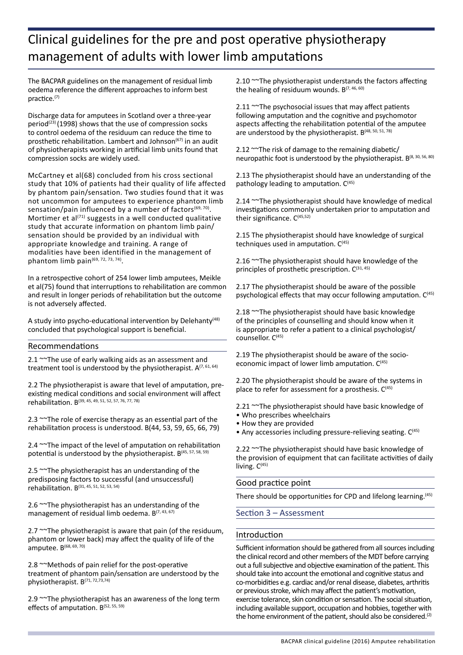The BACPAR guidelines on the management of residual limb oedema reference the different approaches to inform best practice.(7)

Discharge data for amputees in Scotland over a three-year period<sup>(23)</sup> (1998) shows that the use of compression socks to control oedema of the residuum can reduce the time to prosthetic rehabilitation. Lambert and Johnson(67) in an audit of physiotherapists working in artificial limb units found that compression socks are widely used.

McCartney et al(68) concluded from his cross sectional study that 10% of patients had their quality of life affected by phantom pain/sensation. Two studies found that it was not uncommon for amputees to experience phantom limb sensation/pain influenced by a number of factors $(69, 70)$ . Mortimer et  $a^{(71)}$  suggests in a well conducted qualitative study that accurate information on phantom limb pain/ sensation should be provided by an individual with appropriate knowledge and training. A range of modalities have been identified in the management of phantom limb pain(69, 72, 73, 74).

In a retrospective cohort of 254 lower limb amputees, Meikle et al(75) found that interruptions to rehabilitation are common and result in longer periods of rehabilitation but the outcome is not adversely affected.

A study into psycho-educational intervention by Delehanty(48) concluded that psychological support is beneficial.

### Recommendations

2.1 ~~The use of early walking aids as an assessment and treatment tool is understood by the physiotherapist.  $A^{(7, 61, 64)}$ 

2.2 The physiotherapist is aware that level of amputation, preexisting medical conditions and social environment will affect rehabilitation. B(39, 45, 49, 51, 52, 57, 76, 77, 78)

2.3 ~~The role of exercise therapy as an essential part of the rehabilitation process is understood. B(44, 53, 59, 65, 66, 79)

2.4 ~~The impact of the level of amputation on rehabilitation potential is understood by the physiotherapist. B<sup>(45, 57, 58, 59)</sup>

2.5 ~~The physiotherapist has an understanding of the predisposing factors to successful (and unsuccessful) rehabilitation. B(31, 45, 51, 52, 53, 54)

2.6 ~~The physiotherapist has an understanding of the management of residual limb oedema.  $B^{(7,43,67)}$ 

2.7  $\sim$ The physiotherapist is aware that pain (of the residuum, phantom or lower back) may affect the quality of life of the amputee. B(68, 69, 70)

2.8 ~~Methods of pain relief for the post-operative treatment of phantom pain/sensation are understood by the physiotherapist. B(71, 72,73,74)

2.9 ~~The physiotherapist has an awareness of the long term effects of amputation. B(52, 55, 59)

2.10 ~~The physiotherapist understands the factors affecting the healing of residuum wounds.  $B^{(7,46,60)}$ 

2.11 ~~The psychosocial issues that may affect patients following amputation and the cognitive and psychomotor aspects affecting the rehabilitation potential of the amputee are understood by the physiotherapist. B<sup>(48, 50, 51, 78)</sup>

2.12 ~~The risk of damage to the remaining diabetic/ neuropathic foot is understood by the physiotherapist. B<sup>(8, 30, 56, 80)</sup>

2.13 The physiotherapist should have an understanding of the pathology leading to amputation.  $C^{(45)}$ 

2.14 ~~The physiotherapist should have knowledge of medical investigations commonly undertaken prior to amputation and their significance.  $C^{(45,52)}$ 

2.15 The physiotherapist should have knowledge of surgical techniques used in amputation.  $C^{(45)}$ 

2.16 ~~ The physiotherapist should have knowledge of the principles of prosthetic prescription.  $C^{(31, 45)}$ 

2.17 The physiotherapist should be aware of the possible psychological effects that may occur following amputation.  $C^{(45)}$ 

2.18 ~~The physiotherapist should have basic knowledge of the principles of counselling and should know when it is appropriate to refer a patient to a clinical psychologist/ counsellor.  $C<sup>(45)</sup>$ 

2.19 The physiotherapist should be aware of the socioeconomic impact of lower limb amputation.  $C^{(45)}$ 

2.20 The physiotherapist should be aware of the systems in place to refer for assessment for a prosthesis.  $C^{(45)}$ 

2.21 ~~The physiotherapist should have basic knowledge of

- Who prescribes wheelchairs
- How they are provided
- Any accessories including pressure-relieving seating.  $C^{(45)}$

2.22 ~~The physiotherapist should have basic knowledge of the provision of equipment that can facilitate activities of daily living.  $C^{(45)}$ 

### Good practice point

There should be opportunities for CPD and lifelong learning.<sup>(45)</sup>

Section 3 – Assessment

### Introduction

Sufficient information should be gathered from all sources including the clinical record and other members of the MDT before carrying out a full subjective and objective examination of the patient. This should take into account the emotional and cognitive status and co-morbidities e.g. cardiac and/or renal disease, diabetes, arthritis or previous stroke, which may affect the patient's motivation, exercise tolerance, skin condition or sensation. The social situation, including available support, occupation and hobbies, together with the home environment of the patient, should also be considered.<sup>(2)</sup>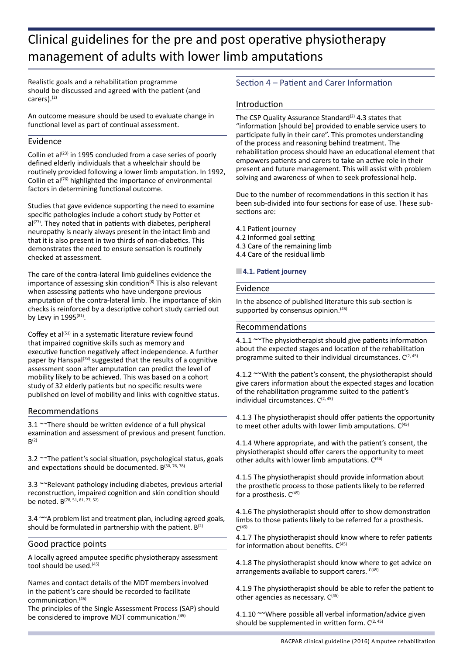Realistic goals and a rehabilitation programme should be discussed and agreed with the patient (and carers).(2)

An outcome measure should be used to evaluate change in functional level as part of continual assessment.

## Evidence

Collin et al $(23)$  in 1995 concluded from a case series of poorly defined elderly individuals that a wheelchair should be routinely provided following a lower limb amputation. In 1992, Collin et al<sup>(76)</sup> highlighted the importance of environmental factors in determining functional outcome.

Studies that gave evidence supporting the need to examine specific pathologies include a cohort study by Potter et  $al^{(77)}$ . They noted that in patients with diabetes, peripheral neuropathy is nearly always present in the intact limb and that it is also present in two thirds of non-diabetics. This demonstrates the need to ensure sensation is routinely checked at assessment.

The care of the contra-lateral limb guidelines evidence the importance of assessing skin condition $(8)$  This is also relevant when assessing patients who have undergone previous amputation of the contra-lateral limb. The importance of skin checks is reinforced by a descriptive cohort study carried out by Levy in 1995<sup>(81)</sup>.

Coffey et al<sup>(51)</sup> in a systematic literature review found that impaired cognitive skills such as memory and executive function negatively affect independence. A further paper by Hanspal<sup>(78)</sup> suggested that the results of a cognitive assessment soon after amputation can predict the level of mobility likely to be achieved. This was based on a cohort study of 32 elderly patients but no specific results were published on level of mobility and links with cognitive status.

### Recommendations

3.1 ~~ There should be written evidence of a full physical examination and assessment of previous and present function.  $B<sup>(2)</sup>$ 

3.2 ~~The patient's social situation, psychological status, goals and expectations should be documented. B(50, 76, 78)

3.3 ~~Relevant pathology including diabetes, previous arterial reconstruction, impaired cognition and skin condition should be noted. B(78, 51, 81, 77, 52)

3.4 ~~A problem list and treatment plan, including agreed goals, should be formulated in partnership with the patient.  $B^{(2)}$ 

### Good practice points

A locally agreed amputee specific physiotherapy assessment tool should be used.<sup>(45)</sup>

Names and contact details of the MDT members involved in the patient's care should be recorded to facilitate communication.(45)

The principles of the Single Assessment Process (SAP) should be considered to improve MDT communication.(45)

## Section 4 – Patient and Carer Information

#### Introduction

The CSP Quality Assurance Standard<sup>(2)</sup> 4.3 states that "information [should be] provided to enable service users to participate fully in their care". This promotes understanding of the process and reasoning behind treatment. The rehabilitation process should have an educational element that empowers patients and carers to take an active role in their present and future management. This will assist with problem solving and awareness of when to seek professional help.

Due to the number of recommendations in this section it has been sub-divided into four sections for ease of use. These subsections are:

- 4.1 Patient journey
- 4.2 Informed goal setting
- 4.3 Care of the remaining limb
- 4.4 Care of the residual limb

■**4.1. Patient journey**

#### Evidence

In the absence of published literature this sub-section is supported by consensus opinion.<sup>(45)</sup>

#### Recommendations

4.1.1  $\sim$ The physiotherapist should give patients information about the expected stages and location of the rehabilitation programme suited to their individual circumstances.  $C^{(2,45)}$ 

4.1.2 ~~With the patient's consent, the physiotherapist should give carers information about the expected stages and location of the rehabilitation programme suited to the patient's individual circumstances.  $C^{(2, 45)}$ 

4.1.3 The physiotherapist should offer patients the opportunity to meet other adults with lower limb amputations.  $C^{(45)}$ 

4.1.4 Where appropriate, and with the patient's consent, the physiotherapist should offer carers the opportunity to meet other adults with lower limb amputations.  $C^{(45)}$ 

4.1.5 The physiotherapist should provide information about the prosthetic process to those patients likely to be referred for a prosthesis.  $C^{(45)}$ 

4.1.6 The physiotherapist should offer to show demonstration limbs to those patients likely to be referred for a prosthesis.  $C<sup>(45)</sup>$ 

4.1.7 The physiotherapist should know where to refer patients for information about benefits.  $C^{(45)}$ 

4.1.8 The physiotherapist should know where to get advice on arrangements available to support carers.  $C(45)$ 

4.1.9 The physiotherapist should be able to refer the patient to other agencies as necessary.  $C^{(45)}$ 

4.1.10 ~~Where possible all verbal information/advice given should be supplemented in written form.  $C^{(2,45)}$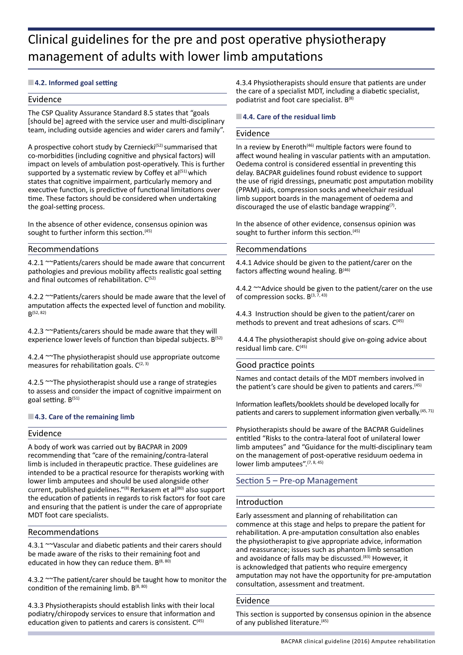### ■**4.2. Informed goal setting**

#### Evidence

The CSP Quality Assurance Standard 8.5 states that "goals [should be] agreed with the service user and multi-disciplinary team, including outside agencies and wider carers and family".

A prospective cohort study by Czerniecki<sup>(52)</sup> summarised that co-morbidities (including cognitive and physical factors) will impact on levels of ambulation post-operatively. This is further supported by a systematic review by Coffey et  $al^{(51)}$  which states that cognitive impairment, particularly memory and executive function, is predictive of functional limitations over time. These factors should be considered when undertaking the goal-setting process.

In the absence of other evidence, consensus opinion was sought to further inform this section.<sup>(45)</sup>

#### Recommendations

4.2.1 ~~ Patients/carers should be made aware that concurrent pathologies and previous mobility affects realistic goal setting and final outcomes of rehabilitation.  $C^{(52)}$ 

4.2.2 ~~Patients/carers should be made aware that the level of amputation affects the expected level of function and mobility.  $B^{(52, 82)}$ 

4.2.3 ~~Patients/carers should be made aware that they will experience lower levels of function than bipedal subjects. B<sup>(52)</sup>

4.2.4 ~~The physiotherapist should use appropriate outcome measures for rehabilitation goals.  $C^{(2, 3)}$ 

4.2.5 ~~The physiotherapist should use a range of strategies to assess and consider the impact of cognitive impairment on goal setting. B(51)

#### ■**4.3. Care of the remaining limb**

#### Evidence

A body of work was carried out by BACPAR in 2009 recommending that "care of the remaining/contra-lateral limb is included in therapeutic practice. These guidelines are intended to be a practical resource for therapists working with lower limb amputees and should be used alongside other current, published guidelines."<sup>(8)</sup> Rerkasem et al<sup>(80)</sup> also support the education of patients in regards to risk factors for foot care and ensuring that the patient is under the care of appropriate MDT foot care specialists.

#### Recommendations

4.3.1 ~~Vascular and diabetic patients and their carers should be made aware of the risks to their remaining foot and educated in how they can reduce them. B<sup>(8, 80)</sup>

4.3.2 ~~The patient/carer should be taught how to monitor the condition of the remaining limb.  $B^{(8, 80)}$ 

4.3.3 Physiotherapists should establish links with their local podiatry/chiropody services to ensure that information and education given to patients and carers is consistent.  $C<sup>(45)</sup>$ 

4.3.4 Physiotherapists should ensure that patients are under the care of a specialist MDT, including a diabetic specialist, podiatrist and foot care specialist.  $B^{(8)}$ 

#### ■**4.4. Care of the residual limb**

#### Evidence

In a review by Eneroth<sup>(46)</sup> multiple factors were found to affect wound healing in vascular patients with an amputation. Oedema control is considered essential in preventing this delay. BACPAR guidelines found robust evidence to support the use of rigid dressings, pneumatic post amputation mobility (PPAM) aids, compression socks and wheelchair residual limb support boards in the management of oedema and discouraged the use of elastic bandage wrapping $(7)$ .

In the absence of other evidence, consensus opinion was sought to further inform this section.<sup>(45)</sup>

#### Recommendations

4.4.1 Advice should be given to the patient/carer on the factors affecting wound healing.  $B^{(46)}$ 

4.4.2 ~~Advice should be given to the patient/carer on the use of compression socks.  $B^{(3, 7, 43)}$ 

4.4.3 Instruction should be given to the patient/carer on methods to prevent and treat adhesions of scars.  $C^{(45)}$ 

 4.4.4 The physiotherapist should give on-going advice about residual limb care.  $C^{(45)}$ 

#### Good practice points

Names and contact details of the MDT members involved in the patient's care should be given to patients and carers.<sup>(45)</sup>

Information leaflets/booklets should be developed locally for patients and carers to supplement information given verbally.<sup>(45, 71)</sup>

Physiotherapists should be aware of the BACPAR Guidelines entitled "Risks to the contra-lateral foot of unilateral lower limb amputees" and "Guidance for the multi-disciplinary team on the management of post-operative residuum oedema in lower limb amputees". (7, 8, 45)

### Section 5 – Pre-op Management

#### Introduction

Early assessment and planning of rehabilitation can commence at this stage and helps to prepare the patient for rehabilitation. A pre-amputation consultation also enables the physiotherapist to give appropriate advice, information and reassurance; issues such as phantom limb sensation and avoidance of falls may be discussed.<sup>(83)</sup> However, it is acknowledged that patients who require emergency amputation may not have the opportunity for pre-amputation consultation, assessment and treatment.

## Evidence

This section is supported by consensus opinion in the absence of any published literature.(45)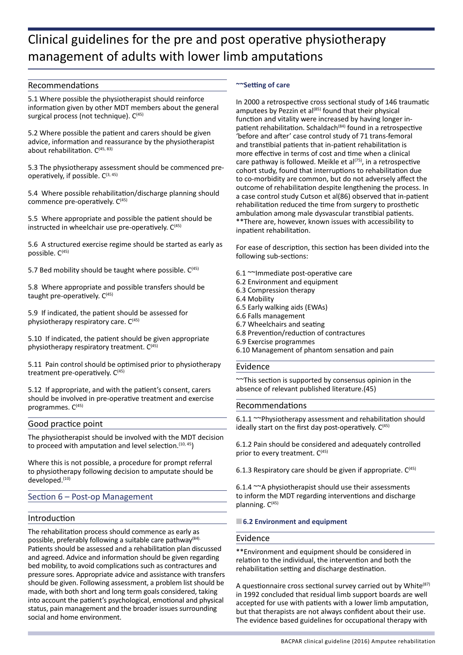### Recommendations

5.1 Where possible the physiotherapist should reinforce information given by other MDT members about the general surgical process (not technique).  $C^{(45)}$ 

5.2 Where possible the patient and carers should be given advice, information and reassurance by the physiotherapist about rehabilitation. C<sup>(45, 83)</sup>

5.3 The physiotherapy assessment should be commenced preoperatively, if possible. C<sup>(3, 45)</sup>

5.4 Where possible rehabilitation/discharge planning should commence pre-operatively. C<sup>(45)</sup>

5.5 Where appropriate and possible the patient should be instructed in wheelchair use pre-operatively.  $C^{(45)}$ 

5.6 A structured exercise regime should be started as early as possible.  $C^{(45)}$ 

5.7 Bed mobility should be taught where possible.  $C^{(45)}$ 

5.8 Where appropriate and possible transfers should be taught pre-operatively. C<sup>(45)</sup>

5.9 If indicated, the patient should be assessed for physiotherapy respiratory care.  $C^{(45)}$ 

5.10 If indicated, the patient should be given appropriate physiotherapy respiratory treatment. C<sup>(45)</sup>

5.11 Pain control should be optimised prior to physiotherapy treatment pre-operatively.  $C^{(45)}$ 

5.12 If appropriate, and with the patient's consent, carers should be involved in pre-operative treatment and exercise programmes. C<sup>(45)</sup>

#### Good practice point

The physiotherapist should be involved with the MDT decision to proceed with amputation and level selection.<sup>(10, 45</sup>)

Where this is not possible, a procedure for prompt referral to physiotherapy following decision to amputate should be developed.<sup>(10)</sup>

### Section 6 – Post-op Management

#### Introduction

The rehabilitation process should commence as early as possible, preferably following a suitable care pathway<sup>(84).</sup> Patients should be assessed and a rehabilitation plan discussed and agreed. Advice and information should be given regarding bed mobility, to avoid complications such as contractures and pressure sores. Appropriate advice and assistance with transfers should be given. Following assessment, a problem list should be made, with both short and long term goals considered, taking into account the patient's psychological, emotional and physical status, pain management and the broader issues surrounding social and home environment.

#### **~~Setting of care**

In 2000 a retrospective cross sectional study of 146 traumatic amputees by Pezzin et al<sup>(85)</sup> found that their physical function and vitality were increased by having longer inpatient rehabilitation. Schaldach<sup>(84)</sup> found in a retrospective 'before and after' case control study of 71 trans-femoral and transtibial patients that in-patient rehabilitation is more effective in terms of cost and time when a clinical care pathway is followed. Meikle et  $al^{(75)}$ , in a retrospective cohort study, found that interruptions to rehabilitation due to co-morbidity are common, but do not adversely affect the outcome of rehabilitation despite lengthening the process. In a case control study Cutson et al(86) observed that in-patient rehabilitation reduced the time from surgery to prosthetic ambulation among male dysvascular transtibial patients. \*\*There are, however, known issues with accessibility to inpatient rehabilitation.

For ease of description, this section has been divided into the following sub-sections:

- 6.1 ~~Immediate post-operative care
- 6.2 Environment and equipment
- 6.3 Compression therapy
- 6.4 Mobility
- 6.5 Early walking aids (EWAs)
- 6.6 Falls management
- 6.7 Wheelchairs and seating
- 6.8 Prevention/reduction of contractures
- 6.9 Exercise programmes
- 6.10 Management of phantom sensation and pain

#### Evidence

~~This section is supported by consensus opinion in the absence of relevant published literature.(45)

#### Recommendations

6.1.1 ~~Physiotherapy assessment and rehabilitation should ideally start on the first day post-operatively.  $C^{(45)}$ 

6.1.2 Pain should be considered and adequately controlled prior to every treatment.  $C^{(45)}$ 

6.1.3 Respiratory care should be given if appropriate.  $C^{(45)}$ 

6.1.4  $\sim$  A physiotherapist should use their assessments to inform the MDT regarding interventions and discharge planning.  $C^{(45)}$ 

#### ■**6.2 Environment and equipment**

#### Evidence

\*\*Environment and equipment should be considered in relation to the individual, the intervention and both the rehabilitation setting and discharge destination.

A questionnaire cross sectional survey carried out by White $(87)$ in 1992 concluded that residual limb support boards are well accepted for use with patients with a lower limb amputation, but that therapists are not always confident about their use. The evidence based guidelines for occupational therapy with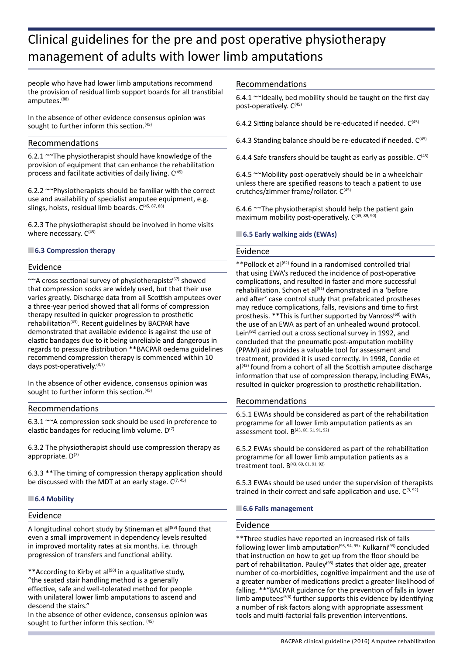people who have had lower limb amputations recommend the provision of residual limb support boards for all transtibial amputees.(88)

In the absence of other evidence consensus opinion was sought to further inform this section.<sup>(45)</sup>

#### Recommendations

6.2.1  $\sim$ The physiotherapist should have knowledge of the provision of equipment that can enhance the rehabilitation process and facilitate activities of daily living.  $C^{(45)}$ 

6.2.2 ~~Physiotherapists should be familiar with the correct use and availability of specialist amputee equipment, e.g. slings, hoists, residual limb boards.  $C^{(45, 87, 88)}$ 

6.2.3 The physiotherapist should be involved in home visits where necessary.  $C^{(45)}$ 

#### ■**6.3 Compression therapy**

#### Evidence

 $\sim$ A cross sectional survey of physiotherapists<sup>(67)</sup> showed that compression socks are widely used, but that their use varies greatly. Discharge data from all Scottish amputees over a three-year period showed that all forms of compression therapy resulted in quicker progression to prosthetic rehabilitation<sup>(43)</sup>. Recent guidelines by BACPAR have demonstrated that available evidence is against the use of elastic bandages due to it being unreliable and dangerous in regards to pressure distribution \*\*BACPAR oedema guidelines recommend compression therapy is commenced within 10 days post-operatively. $(3,7)$ 

In the absence of other evidence, consensus opinion was sought to further inform this section.<sup>(45)</sup>

#### Recommendations

6.3.1 ~~A compression sock should be used in preference to elastic bandages for reducing limb volume.  $D^{(7)}$ 

6.3.2 The physiotherapist should use compression therapy as appropriate.  $D^{(7)}$ 

6.3.3 \*\*The timing of compression therapy application should be discussed with the MDT at an early stage.  $C^{(7, 45)}$ 

#### ■**6.4 Mobility**

#### Evidence

A longitudinal cohort study by Stineman et  $al^{(89)}$  found that even a small improvement in dependency levels resulted in improved mortality rates at six months. i.e. through progression of transfers and functional ability.

\*\* According to Kirby et al<sup>(90)</sup> in a qualitative study, "the seated stair handling method is a generally effective, safe and well-tolerated method for people with unilateral lower limb amputations to ascend and descend the stairs."

In the absence of other evidence, consensus opinion was sought to further inform this section. (45)

#### Recommendations

6.4.1 ~~Ideally, bed mobility should be taught on the first day post-operatively. C<sup>(45)</sup>

6.4.2 Sitting balance should be re-educated if needed.  $C<sup>(45)</sup>$ 

6.4.3 Standing balance should be re-educated if needed.  $C<sup>(45)</sup>$ 

6.4.4 Safe transfers should be taught as early as possible.  $C^{(45)}$ 

6.4.5 ~~Mobility post-operatively should be in a wheelchair unless there are specified reasons to teach a patient to use crutches/zimmer frame/rollator. C<sup>(45)</sup>

6.4.6  $\sim$ The physiotherapist should help the patient gain maximum mobility post-operatively. C<sup>(45, 89, 90)</sup>

#### ■**6.5 Early walking aids (EWAs)**

#### Evidence

\*\*Pollock et al<sup>(62)</sup> found in a randomised controlled trial that using EWA's reduced the incidence of post-operative complications, and resulted in faster and more successful rehabilitation. Schon et al $(91)$  demonstrated in a 'before and after' case control study that prefabricated prostheses may reduce complications, falls, revisions and time to first prosthesis. \*\*This is further supported by Vanross<sup>(60)</sup> with the use of an EWA as part of an unhealed wound protocol. Lein(92) carried out a cross sectional survey in 1992, and concluded that the pneumatic post-amputation mobility (PPAM) aid provides a valuable tool for assessment and treatment, provided it is used correctly. In 1998, Condie et  $al<sup>(43)</sup>$  found from a cohort of all the Scottish amputee discharge information that use of compression therapy, including EWAs, resulted in quicker progression to prosthetic rehabilitation.

#### Recommendations

6.5.1 EWAs should be considered as part of the rehabilitation programme for all lower limb amputation patients as an assessment tool. B(43, 60, 61, 91, 92)

6.5.2 EWAs should be considered as part of the rehabilitation programme for all lower limb amputation patients as a treatment tool. B(43, 60, 61, 91, 92)

6.5.3 EWAs should be used under the supervision of therapists trained in their correct and safe application and use.  $C^{(3, 92)}$ 

#### ■**6.6 Falls management**

#### Evidence

\*\*Three studies have reported an increased risk of falls following lower limb amputation<sup>(93, 94, 95).</sup> Kulkarni<sup>(93)</sup> concluded that instruction on how to get up from the floor should be part of rehabilitation. Pauley<sup>(95)</sup> states that older age, greater number of co-morbidities, cognitive impairment and the use of a greater number of medications predict a greater likelihood of falling. \*\*"BACPAR guidance for the prevention of falls in lower limb amputees"(6) further supports this evidence by identifying a number of risk factors along with appropriate assessment tools and multi-factorial falls prevention interventions.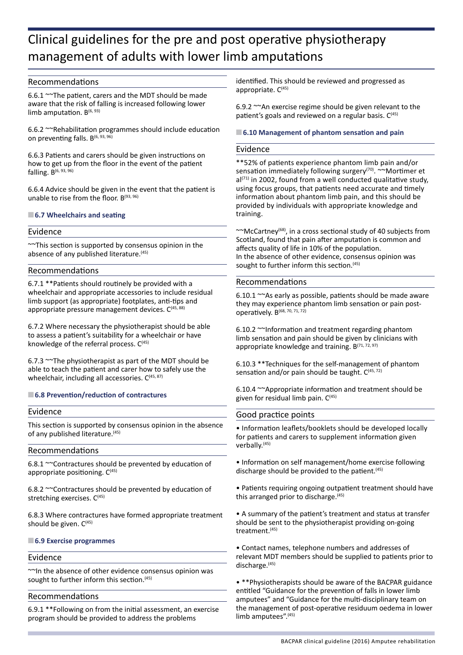#### Recommendations

6.6.1  $\sim$ The patient, carers and the MDT should be made aware that the risk of falling is increased following lower limb amputation.  $B^{(6, 93)}$ 

6.6.2 ~~Rehabilitation programmes should include education on preventing falls. B(6, 93, 96)

6.6.3 Patients and carers should be given instructions on how to get up from the floor in the event of the patient falling.  $B^{(6, 93, 96)}$ 

6.6.4 Advice should be given in the event that the patient is unable to rise from the floor.  $B^{(93, 96)}$ 

#### ■**6.7 Wheelchairs and seating**

#### Evidence

~~This section is supported by consensus opinion in the absence of any published literature.<sup>(45)</sup>

#### Recommendations

6.7.1 \*\*Patients should routinely be provided with a wheelchair and appropriate accessories to include residual limb support (as appropriate) footplates, anti-tips and appropriate pressure management devices.  $C^{(45, 88)}$ 

6.7.2 Where necessary the physiotherapist should be able to assess a patient's suitability for a wheelchair or have knowledge of the referral process.  $C^{(45)}$ 

6.7.3 ~~The physiotherapist as part of the MDT should be able to teach the patient and carer how to safely use the wheelchair, including all accessories.  $C^{(45, 87)}$ 

#### ■**6.8 Prevention/reduction of contractures**

#### Evidence

This section is supported by consensus opinion in the absence of any published literature.(45)

#### Recommendations

6.8.1 ~~Contractures should be prevented by education of appropriate positioning.  $C^{(45)}$ 

6.8.2 ~~Contractures should be prevented by education of stretching exercises.  $C^{(45)}$ 

6.8.3 Where contractures have formed appropriate treatment should be given.  $C^{(45)}$ 

#### ■**6.9 Exercise programmes**

#### Evidence

~~In the absence of other evidence consensus opinion was sought to further inform this section.<sup>(45)</sup>

#### Recommendations

6.9.1 \*\*Following on from the initial assessment, an exercise program should be provided to address the problems

identified. This should be reviewed and progressed as appropriate.  $C<sup>(45)</sup>$ 

6.9.2 ~~An exercise regime should be given relevant to the patient's goals and reviewed on a regular basis.  $C^{(45)}$ 

#### ■**6.10 Management of phantom sensation and pain**

#### Evidence

\*\*52% of patients experience phantom limb pain and/or sensation immediately following surgery<sup>(70)</sup>. ~~Mortimer et  $al^{(71)}$  in 2002, found from a well conducted qualitative study, using focus groups, that patients need accurate and timely information about phantom limb pain, and this should be provided by individuals with appropriate knowledge and training.

 $\sim$ McCartney<sup>(68)</sup>, in a cross sectional study of 40 subjects from Scotland, found that pain after amputation is common and affects quality of life in 10% of the population. In the absence of other evidence, consensus opinion was sought to further inform this section.<sup>(45)</sup>

#### Recommendations

6.10.1  $\sim$  As early as possible, patients should be made aware they may experience phantom limb sensation or pain postoperatively. B(68, 70, 71, 72)

6.10.2 ~~Information and treatment regarding phantom limb sensation and pain should be given by clinicians with appropriate knowledge and training.  $B^{(71, 72, 97)}$ 

6.10.3 \*\*Techniques for the self-management of phantom sensation and/or pain should be taught.  $C^{(45, 72)}$ 

6.10.4 ~~Appropriate information and treatment should be given for residual limb pain.  $C^{(45)}$ 

#### Good practice points

• Information leaflets/booklets should be developed locally for patients and carers to supplement information given verbally.(45)

• Information on self management/home exercise following discharge should be provided to the patient.<sup>(45)</sup>

• Patients requiring ongoing outpatient treatment should have this arranged prior to discharge.<sup>(45)</sup>

• A summary of the patient's treatment and status at transfer should be sent to the physiotherapist providing on-going treatment.(45)

• Contact names, telephone numbers and addresses of relevant MDT members should be supplied to patients prior to discharge.<sup>(45)</sup>

• \*\*Physiotherapists should be aware of the BACPAR guidance entitled "Guidance for the prevention of falls in lower limb amputees" and "Guidance for the multi-disciplinary team on the management of post-operative residuum oedema in lower limb amputees".<sup>(45)</sup>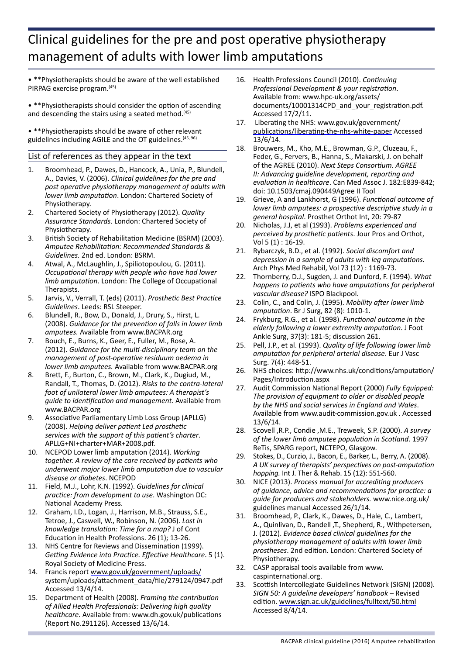• \*\*Physiotherapists should be aware of the well established PIRPAG exercise program.<sup>(45)</sup>

• \*\*Physiotherapists should consider the option of ascending and descending the stairs using a seated method.<sup>(45)</sup>

• \*\*Physiotherapists should be aware of other relevant guidelines including AGILE and the OT guidelines.(45, 96)

### List of references as they appear in the text

- 1. Broomhead, P., Dawes, D., Hancock, A., Unia, P., Blundell, A., Davies, V. (2006). *Clinical guidelines for the pre and post operative physiotherapy management of adults with lower limb amputation*. London: Chartered Society of Physiotherapy.
- 2. Chartered Society of Physiotherapy (2012). *Quality Assurance Standards*. London: Chartered Society of Physiotherapy.
- 3. British Society of Rehabilitation Medicine (BSRM) (2003). *Amputee Rehabilitation: Recommended Standards & Guidelines.* 2nd ed. London: BSRM.
- 4. Atwal, A., McLaughlin, J., Spiliotopoulou, G. (2011). *Occupational therapy with people who have had lower limb amputation*. London: The College of Occupational Therapists.
- 5. Jarvis, V., Verrall, T. (eds) (2011). *Prosthetic Best Practice Guidelines*. Leeds: RSL Steeper.
- 6. Blundell, R., Bow, D., Donald, J., Drury, S., Hirst, L. (2008). *Guidance for the prevention of falls in lower limb amputees.* Available from www.BACPAR.org
- 7. Bouch, E., Burns, K., Geer, E., Fuller, M., Rose, A. (2012). *Guidance for the multi-disciplinary team on the management of post-operative residuum oedema in lower limb amputees.* Available from www.BACPAR.org
- 8. Brett, F., Burton, C., Brown, M., Clark, K., Dugiud, M., Randall, T., Thomas, D. (2012). *Risks to the contra-lateral foot of unilateral lower limb amputees: A therapist's guide to identification and management.* Available from www.BACPAR.org
- 9. Associative Parliamentary Limb Loss Group (APLLG) (2008). *Helping deliver patient Led prosthetic services with the support of this patient's charter*. APLLG+NI+charter+MAR+2008.pdf.
- 10. NCEPOD Lower limb amputation (2014). *Working together. A review of the care received by patients who underwent major lower limb amputation due to vascular disease or diabetes*. NCEPOD
- 11. Field, M.J., Lohr, K.N. (1992). *Guidelines for clinical practice: from development to use*. Washington DC: National Academy Press.
- 12. Graham, I.D., Logan, J., Harrison, M.B., Strauss, S.E., Tetroe, J., Caswell, W., Robinson, N. (2006). *Lost in knowledge translation: Time for a map?* J of Cont Education in Health Professions. 26 (1); 13-26.
- 13. NHS Centre for Reviews and Dissemination (1999). *Getting Evidence into Practice. Effective Healthcare*. 5 (1). Royal Society of Medicine Press.
- 14. Francis report www.gov.uk/government/uploads/ system/uploads/attachment\_data/file/279124/0947.pdf Accessed 13/4/14.
- 15. Department of Health (2008). *Framing the contribution of Allied Health Professionals: Delivering high quality healthcare*. Available from: www.dh.gov.uk/publications (Report No.291126). Accessed 13/6/14.
- 16. Health Professions Council (2010). *Continuing Professional Development & your registration*. Available from: www.hpc-uk.org/assets/ documents/10001314CPD and your registration.pdf. Accessed 17/2/11.
- 17. Liberating the NHS: www.gov.uk/government/ publications/liberating-the-nhs-white-paper Accessed 13/6/14.
- 18. Brouwers, M., Kho, M.E., Browman, G.P., Cluzeau, F., Feder, G., Fervers, B., Hanna, S., Makarski, J. on behalf of the AGREE (2010). *Next Steps Consortium. AGREE II: Advancing guideline development, reporting and evaluation in healthcare*. Can Med Assoc J. 182:E839-842; doi: 10.1503/cmaj.090449Agree II Tool
- 19. Grieve, A and Lankhorst, G (1996). *Functional outcome of lower limb amputees: a prospective descriptive study in a general hospital*. Prosthet Orthot Int, 20: 79-87
- 20. Nicholas, J.J, et al (1993). *Problems experienced and perceived by prosthetic patients*. Jour Pros and Orthot, Vol 5 (1) : 16-19.
- 21. Rybarczyk, B.D., et al. (1992). *Social discomfort and depression in a sample of adults with leg amputations.* Arch Phys Med Rehabil, Vol 73 (12) : 1169-73.
- 22. Thornberry, D.J., Sugden, J. and Dunford, F. (1994). *What happens to patients who have amputations for peripheral vascular disease?* ISPO Blackpool.
- 23. Colin, C., and Colin, J. (1995). *Mobility after lower limb amputation*. Br J Surg, 82 (8): 1010-1.
- 24. Frykburg, R.G., et al. (1998). *Functional outcome in the elderly following a lower extremity amputation*. J Foot Ankle Surg, 37(3): 181-5; discussion 261.
- 25. Pell, J.P., et al. (1993). *Quality of life following lower limb amputation for peripheral arterial disease*. Eur J Vasc Surg. 7(4): 448-51.
- 26. NHS choices: http://www.nhs.uk/conditions/amputation/ Pages/Introduction.aspx
- 27. Audit Commission National Report (2000) *Fully Equipped: The provision of equipment to older or disabled people by the NHS and social services in England and Wales*. Available from www.audit-commission.gov.uk . Accessed 13/6/14.
- 28. Scovell ,R.P., Condie ,M.E., Treweek, S.P. (2000). *A survey of the lower limb amputee population in Scotland*. 1997 ReTis, SPARG report, NCTEPO, Glasgow.
- 29. Stokes, D., Curzio, J., Bacon, E., Barker, L., Berry, A. (2008). *A UK survey of therapists' perspectives on post-amputation hopping.* Int J. Ther & Rehab. 15 (12): 551-560.
- 30. NICE (2013). *Process manual for accrediting producers of guidance, advice and recommendations for practice: a guide for producers and stakeholders.* www.nice.org.uk/ guidelines manual Accessed 26/1/14.
- 31. Broomhead, P., Clark, K., Dawes, D., Hale, C., Lambert, A., Quinlivan, D., Randell ,T., Shepherd, R., Withpetersen, J. (2012). *Evidence based clinical guidelines for the physiotherapy management of adults with lower limb prostheses*. 2nd edition. London: Chartered Society of Physiotherapy.
- 32. CASP appraisal tools available from www. caspinternational.org.
- 33. Scottish Intercollegiate Guidelines Network (SIGN) (2008). *SIGN 50: A guideline developers' handbook* – Revised edition. www.sign.ac.uk/guidelines/fulltext/50.html Accessed 8/4/14.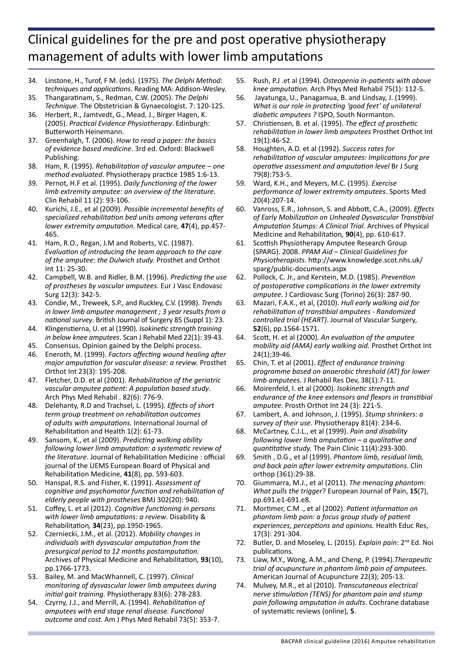- 34. Linstone, H., Turof, F M. (eds). (1975). *The Delphi Method: techniques and applications*. Reading MA: Addison-Wesley.
- 35. Thangaratinam, S., Redman, C.W. (2005). *The Delphi Technique*. The Obstetrician & Gynaecologist. 7: 120-125.
- 36. Herbert, R., Jamtvedt, G., Mead, J., Birger Hagen, K. (2005). *Practical Evidence Physiotherapy*. Edinburgh: Butterworth Heinemann.
- 37. Greenhalgh, T. (2006). *How to read a paper: the basics of evidence based medicine*. 3rd ed. Oxford: Blackwell Publishing.
- 38. Ham, R. (1995). *Rehabilitation of vascular amputee one method evaluated*. Physiotherapy practice 1985 1:6-13.
- 39. Pernot, H.F et al. (1995). *Daily functioning of the lower limb extremity amputee: an overview of the literature*. Clin Rehabil 11 (2): 93-106.
- 40. Kurichi, J.E., et al (2009). *Possible incremental benefits of specialized rehabilitation bed units among veterans after lower extremity amputation*. Medical care*,* **47**(4), pp.457- 465.
- 41. Ham, R.O., Regan, J.M and Roberts, V.C. (1987). *Evaluation of introducing the team approach to the care of the amputee: the Dulwich study.* Prosthet and Orthot Int 11: 25-30.
- 42. Campbell, W.B. and Ridler, B.M. (1996). *Predicting the use of prostheses by vascular amputees*. Eur J Vasc Endovasc Surg 12(3): 342-5.
- 43. Condie, M., Treweek, S.P., and Ruckley, C.V. (1998). *Trends in lower limb amputee management ; 3 year results from a national survey*. British Journal of Surgery 85 (Suppl 1): 23.
- 44. Klingenstierna, U. et al (1990). *Isokinetic strength training in below knee amputees*. Scan J Rehabil Med 22(1): 39-43.
- 45. Consensus. Opinion gained by the Delphi process.
- 46. Eneroth, M. (1999). *Factors affecting wound healing after major amputation for vascular disease: a review.* Prosthet Orthot Int 23(3): 195-208.
- 47. Fletcher, D.D. et al (2001). *Rehabilitation of the geriatric vascular amputee patient: A population based study*. Arch Phys Med Rehabil . 82(6): 776-9.
- 48. Delehanty, R.D and Trachsel, L. (1995). *Effects of short term group treatment on rehabilitation outcomes of adults with amputations.* International Journal of Rehabilitation and Health 1(2): 61-73.
- 49. Sansom, K., et al (2009). *Predicting walking ability following lower limb amputation: a systematic review of the literature*. Journal of Rehabilitation Medicine : official journal of the UEMS European Board of Physical and Rehabilitation Medicine, **41**(8), pp. 593-603.
- 50. Hanspal, R.S. and Fisher, K. (1991). *Assessment of cognitive and psychomotor function and rehabilitation of elderly people with prostheses* BMJ 302(20): 940.
- 51. Coffey, L. et al (2012). *Cognitive functioning in persons with lower limb amputations: a review*. Disability & Rehabilitation*,* **34**(23), pp.1950-1965.
- 52. Czerniecki, J.M., et al. (2012). *Mobility changes in individuals with dysvascular amputation from the presurgical period to 12 months postamputation.* Archives of Physical Medicine and Rehabilitation*,* **93**(10), pp.1766-1773.
- 53. Bailey, M. and MacWhannell, C. (1997). *Clinical monitoring of dysvascular lower limb amputees during initial gait training.* Physiotherapy 83(6): 278-283.
- 54. Czyrny, J.J., and Merrill, A. (1994). *Rehabilitation of amputees with end stage renal disease. Functional outcome and cost.* Am J Phys Med Rehabil 73(5): 353-7.
- 55. Rush, P.J .et al (1994). *Osteopenia in-patients with above knee amputation.* Arch Phys Med Rehabil 75(1): 112-5.
- 56. Jayatunga, U., Panagamua, B. and Lindsay, J. (1999). *What is our role in protecting 'good feet' of unilateral diabetic amputees ?* ISPO, South Normanton.
- 57. Christiensen, B. et al. (1995). *The effect of prosthetic rehabilitation in lower limb amputees* Prosthet Orthot Int 19(1):46-52.
- 58. Houghten, A.D. et al (1992). *Success rates for rehabilitation of vascular amputees: Implications for pre operative assessment and amputation level* Br J Surg 79(8):753-5.
- 59. Ward, K.H., and Meyers, M.C. (1995). *Exercise performance of lower extremity amputees*. Sports Med 20(4):207-14.
- 60. Vanross, E.R., Johnson, S. and Abbott, C.A., (2009). *Effects of Early Mobilization on Unhealed Dysvascular Transtibial Amputation Stumps: A Clinical Trial*. Archives of Physical Medicine and Rehabilitation*,* **90**(4), pp. 610-617.
- 61. Scottish Physiotherapy Amputee Research Group (SPARG). 2008. *PPAM Aid – Clinical Guidelines for Physiotherapists*. http://www.knowledge.scot.nhs.uk/ sparg/public-documents.aspx
- 62. Pollock, C. Jr., and Kerstein, M.D. (1985). *Prevention of postoperative complications in the lower extremity amputee.* J Cardiovasc Surg (Torino) 26(3): 287-90.
- 63. Mazari, F.A.K., et al, (2010). *Hull early walking aid for rehabilitation of transtibial amputees - Randomized controlled trial (HEART)*. Journal of Vascular Surgery*,*  **52**(6), pp.1564-1571.
- 64. Scott, H. et al (2000). *An evaluation of the amputee mobility aid (AMA) early walking aid.* Prosthet Orthot Int 24(1);39-46.
- 65. Chin, T. et al (2001). *Effect of endurance training programme based on anaerobic threshold (AT) for lower limb amputees.* J Rehabil Res Dev, 38(1):7-11.
- 66. Moirenfeld, I. et al (2000). *Isokinetic strength and endurance of the knee extensors and flexors in transtibial amputee.* Prosth Orthot Int 24 (3): 221-5.
- 67. Lambert, A. and Johnson, J. (1995). *Stump shrinkers: a survey of their use*. Physiotherapy 81(4): 234-6.
- 68. McCartney, C.J.L., et al (1999). *Pain and disability following lower limb amputation – a qualitative and quantitative study.* The Pain Clinic 11(4):293-300.
- 69. Smith , D.G., et al (1999). *Phantom limb, residual limb, and back pain after lower extremity amputations*. Clin orthop (361):29-38.
- 70. Giummarra, M.J., et al (2011). *The menacing phantom: What pulls the trigger*? European Journal of Pain, **15**(7), pp.691.e1-691.e8.
- 71. Mortimer, C.M ., et al (2002). *Patient information on phantom limb pain: a focus group study of patient experiences, perceptions and opinions.* Health Educ Res, 17(3): 291-304.
- 72. Butler, D. and Moseley, L. (2015). *Explain pain*: 2<sup>nd</sup> Ed. Noi publications.
- 73. Liaw, M.Y., Wong, A.M., and Cheng, P. (1994).*Therapeutic trial of acupuncture in phantom limb pain of amputees.*  American Journal of Acupuncture 22(3); 205-13.
- 74. Mulvey, M.R., et al (2010). *Transcutaneous electrical nerve stimulation (TENS) for phantom pain and stump pain following amputation in adults*. Cochrane database of systematic reviews (online)*,* **5**.